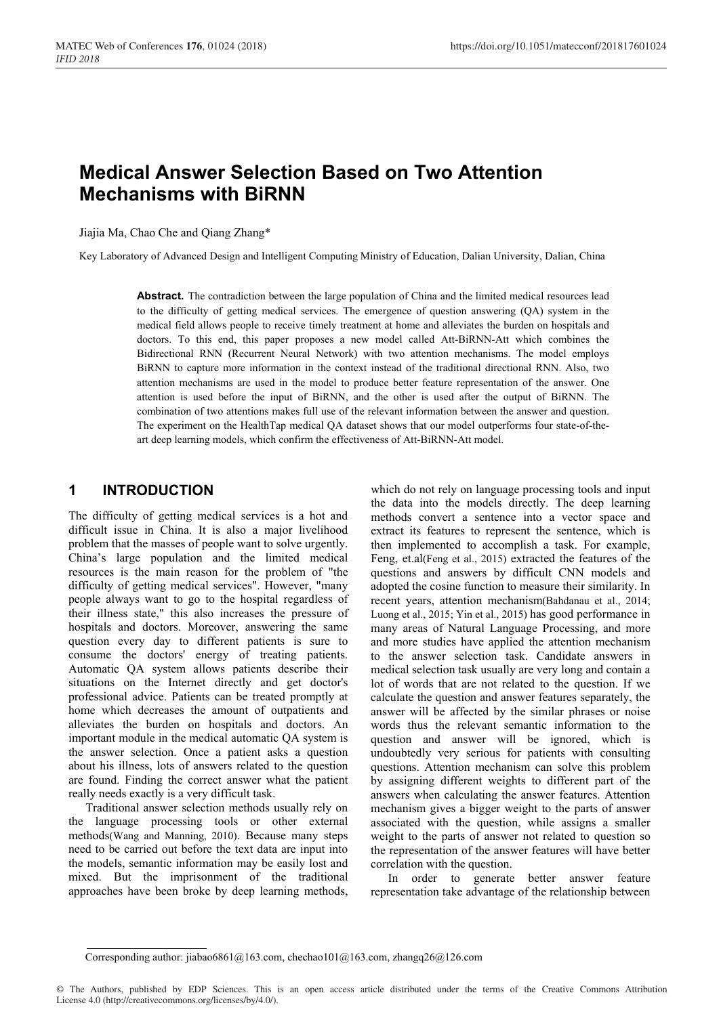# **Medical Answer Selection Based on Two Attention Mechanisms with BiRNN**

Jiajia Ma, Chao Che and Qiang Zhang\*

Key Laboratory of Advanced Design and Intelligent Computing Ministry of Education, Dalian University, Dalian, China

**Abstract.** The contradiction between the large population of China and the limited medical resources lead to the difficulty of getting medical services. The emergence of question answering (QA) system in the medical field allows people to receive timely treatment at home and alleviates the burden on hospitals and doctors. To this end, this paper proposes a new model called Att-BiRNN-Att which combines the Bidirectional RNN (Recurrent Neural Network) with two attention mechanisms. The model employs BiRNN to capture more information in the context instead of the traditional directional RNN. Also, two attention mechanisms are used in the model to produce better feature representation of the answer. One attention is used before the input of BiRNN, and the other is used after the output of BiRNN. The combination of two attentions makes full use of the relevant information between the answer and question. The experiment on the HealthTap medical QA dataset shows that our model outperforms four state-of-theart deep learning models, which confirm the effectiveness of Att-BiRNN-Att model.

### **1 INTRODUCTION**

The difficulty of getting medical services is a hot and difficult issue in China. It is also a major livelihood problem that the masses of people want to solve urgently. China's large population and the limited medical resources is the main reason for the problem of "the difficulty of getting medical services". However, "many people always want to go to the hospital regardless of their illness state," this also increases the pressure of hospitals and doctors. Moreover, answering the same question every day to different patients is sure to consume the doctors' energy of treating patients. Automatic QA system allows patients describe their situations on the Internet directly and get doctor's professional advice. Patients can be treated promptly at home which decreases the amount of outpatients and alleviates the burden on hospitals and doctors. An important module in the medical automatic QA system is the answer selection. Once a patient asks a question about his illness, lots of answers related to the question are found. Finding the correct answer what the patient really needs exactly is a very difficult task.

Traditional answer selection methods usually rely on the language processing tools or other external methods(Wang and Manning, 2010). Because many steps need to be carried out before the text data are input into the models, semantic information may be easily lost and mixed. But the imprisonment of the traditional approaches have been broke by deep learning methods, which do not rely on language processing tools and input the data into the models directly. The deep learning methods convert a sentence into a vector space and extract its features to represent the sentence, which is then implemented to accomplish a task. For example, Feng, et.al(Feng et al., 2015) extracted the features of the questions and answers by difficult CNN models and adopted the cosine function to measure their similarity. In recent years, attention mechanism(Bahdanau et al., 2014; Luong et al., 2015; Yin et al., 2015) has good performance in many areas of Natural Language Processing, and more and more studies have applied the attention mechanism to the answer selection task. Candidate answers in medical selection task usually are very long and contain a lot of words that are not related to the question. If we calculate the question and answer features separately, the answer will be affected by the similar phrases or noise words thus the relevant semantic information to the question and answer will be ignored, which is undoubtedly very serious for patients with consulting questions. Attention mechanism can solve this problem by assigning different weights to different part of the answers when calculating the answer features. Attention mechanism gives a bigger weight to the parts of answer associated with the question, while assigns a smaller weight to the parts of answer not related to question so the representation of the answer features will have better correlation with the question.

In order to generate better answer feature representation take advantage of the relationship between

© The Authors, published by EDP Sciences. This is an open access article distributed under the terms of the Creative Commons Attribution License 4.0 (http://creativecommons.org/licenses/by/4.0/).

Corresponding author: jiabao6861@163.com, chechao101@163.com, zhangq26@126.com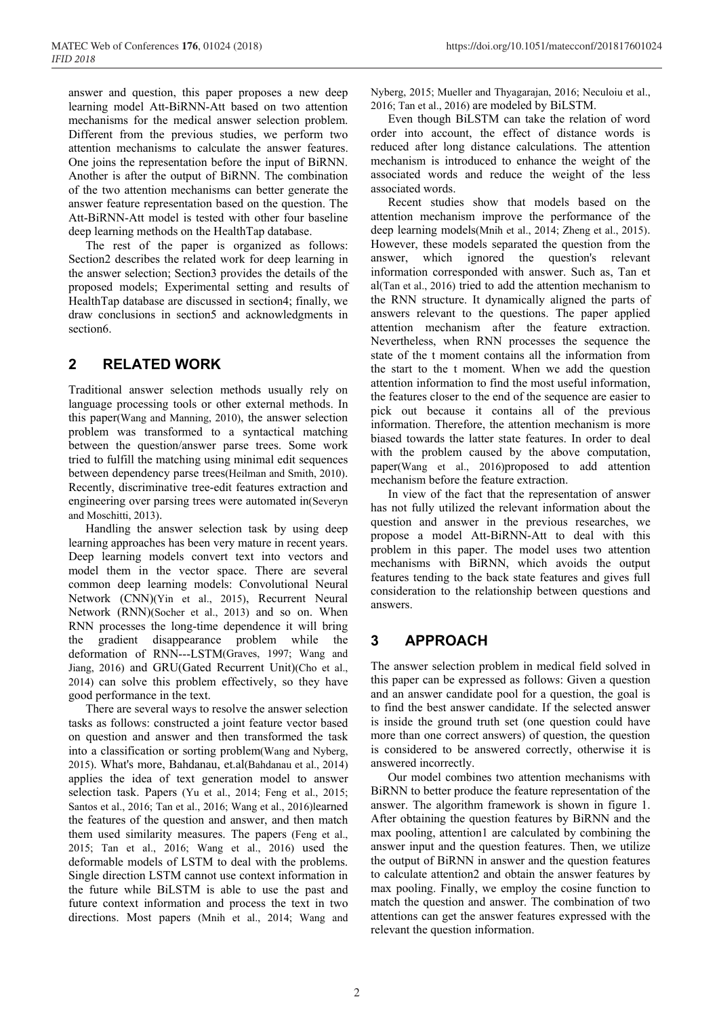answer and question, this paper proposes a new deep learning model Att-BiRNN-Att based on two attention mechanisms for the medical answer selection problem. Different from the previous studies, we perform two attention mechanisms to calculate the answer features. One joins the representation before the input of BiRNN. Another is after the output of BiRNN. The combination of the two attention mechanisms can better generate the answer feature representation based on the question. The Att-BiRNN-Att model is tested with other four baseline deep learning methods on the HealthTap database.

The rest of the paper is organized as follows: Section2 describes the related work for deep learning in the answer selection; Section3 provides the details of the proposed models; Experimental setting and results of HealthTap database are discussed in section4; finally, we draw conclusions in section5 and acknowledgments in section6.

## **2 RELATED WORK**

Traditional answer selection methods usually rely on language processing tools or other external methods. In this paper(Wang and Manning, 2010), the answer selection problem was transformed to a syntactical matching between the question/answer parse trees. Some work tried to fulfill the matching using minimal edit sequences between dependency parse trees(Heilman and Smith, 2010). Recently, discriminative tree-edit features extraction and engineering over parsing trees were automated in(Severyn and Moschitti, 2013).

Handling the answer selection task by using deep learning approaches has been very mature in recent years. Deep learning models convert text into vectors and model them in the vector space. There are several common deep learning models: Convolutional Neural Network (CNN)(Yin et al., 2015), Recurrent Neural Network (RNN)(Socher et al., 2013) and so on. When RNN processes the long-time dependence it will bring the gradient disappearance problem while the deformation of RNN---LSTM(Graves, 1997; Wang and Jiang, 2016) and GRU(Gated Recurrent Unit)(Cho et al., 2014) can solve this problem effectively, so they have good performance in the text.

There are several ways to resolve the answer selection tasks as follows: constructed a joint feature vector based on question and answer and then transformed the task into a classification or sorting problem(Wang and Nyberg, 2015). What's more, Bahdanau, et.al(Bahdanau et al., 2014) applies the idea of text generation model to answer selection task. Papers (Yu et al., 2014; Feng et al., 2015; Santos et al., 2016; Tan et al., 2016; Wang et al., 2016)learned the features of the question and answer, and then match them used similarity measures. The papers (Feng et al., 2015; Tan et al., 2016; Wang et al., 2016) used the deformable models of LSTM to deal with the problems. Single direction LSTM cannot use context information in the future while BiLSTM is able to use the past and future context information and process the text in two directions. Most papers (Mnih et al., 2014; Wang and

Nyberg, 2015; Mueller and Thyagarajan, 2016; Neculoiu et al., 2016; Tan et al., 2016) are modeled by BiLSTM.

Even though BiLSTM can take the relation of word order into account, the effect of distance words is reduced after long distance calculations. The attention mechanism is introduced to enhance the weight of the associated words and reduce the weight of the less associated words.

Recent studies show that models based on the attention mechanism improve the performance of the deep learning models(Mnih et al., 2014; Zheng et al., 2015). However, these models separated the question from the answer, which ignored the question's relevant information corresponded with answer. Such as, Tan et al(Tan et al., 2016) tried to add the attention mechanism to the RNN structure. It dynamically aligned the parts of answers relevant to the questions. The paper applied attention mechanism after the feature extraction. Nevertheless, when RNN processes the sequence the state of the t moment contains all the information from the start to the t moment. When we add the question attention information to find the most useful information, the features closer to the end of the sequence are easier to pick out because it contains all of the previous information. Therefore, the attention mechanism is more biased towards the latter state features. In order to deal with the problem caused by the above computation, paper(Wang et al., 2016)proposed to add attention mechanism before the feature extraction.

In view of the fact that the representation of answer has not fully utilized the relevant information about the question and answer in the previous researches, we propose a model Att-BiRNN-Att to deal with this problem in this paper. The model uses two attention mechanisms with BiRNN, which avoids the output features tending to the back state features and gives full consideration to the relationship between questions and answers.

### **3 APPROACH**

The answer selection problem in medical field solved in this paper can be expressed as follows: Given a question and an answer candidate pool for a question, the goal is to find the best answer candidate. If the selected answer is inside the ground truth set (one question could have more than one correct answers) of question, the question is considered to be answered correctly, otherwise it is answered incorrectly.

Our model combines two attention mechanisms with BiRNN to better produce the feature representation of the answer. The algorithm framework is shown in figure 1. After obtaining the question features by BiRNN and the max pooling, attention1 are calculated by combining the answer input and the question features. Then, we utilize the output of BiRNN in answer and the question features to calculate attention2 and obtain the answer features by max pooling. Finally, we employ the cosine function to match the question and answer. The combination of two attentions can get the answer features expressed with the relevant the question information.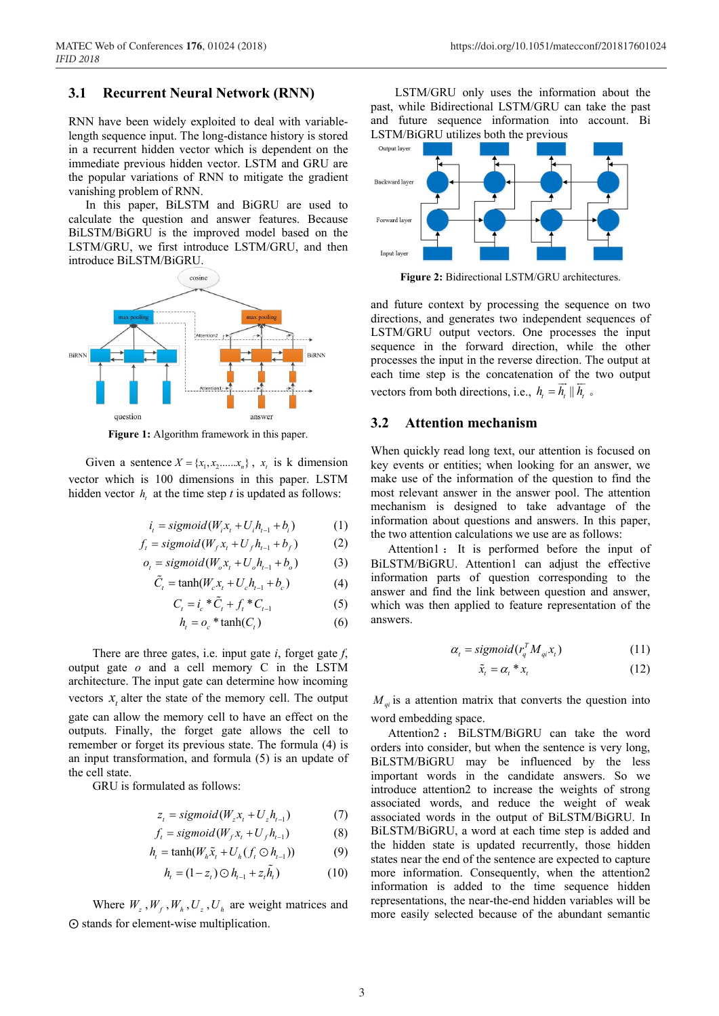#### **3.1 Recurrent Neural Network (RNN)**

RNN have been widely exploited to deal with variablelength sequence input. The long-distance history is stored in a recurrent hidden vector which is dependent on the immediate previous hidden vector. LSTM and GRU are the popular variations of RNN to mitigate the gradient vanishing problem of RNN.

In this paper, BiLSTM and BiGRU are used to calculate the question and answer features. Because BiLSTM/BiGRU is the improved model based on the LSTM/GRU, we first introduce LSTM/GRU, and then introduce BiLSTM/BiGRU.



**Figure 1:** Algorithm framework in this paper.

Given a sentence  $X = \{x_1, x_2, \dots, x_n\}$ ,  $x_t$  is k dimension vector which is 100 dimensions in this paper. LSTM hidden vector  $h_t$  at the time step *t* is updated as follows:

$$
i_{t} = sigmoid(W_{i}x_{t} + U_{i}h_{t-1} + b_{i})
$$
\n(1)

$$
f_t = sigmoid(W_f x_t + U_f h_{t-1} + b_f)
$$
 (2)

$$
o_t = sigmoid(W_o x_t + U_o h_{t-1} + b_o)
$$
 (3)

$$
\tilde{C}_t = \tanh(W_c x_t + U_c h_{t-1} + b_c) \tag{4}
$$

$$
C_t = i_c \, ^\ast \tilde{C}_t + f_t \, ^\ast C_{t-1} \tag{5}
$$

$$
h_t = o_c * \tanh(C_t) \tag{6}
$$

There are three gates, i.e. input gate *i*, forget gate *f*, output gate *o* and a cell memory C in the LSTM architecture. The input gate can determine how incoming vectors  $x$ , alter the state of the memory cell. The output gate can allow the memory cell to have an effect on the outputs. Finally, the forget gate allows the cell to remember or forget its previous state. The formula (4) is an input transformation, and formula (5) is an update of the cell state.

GRU is formulated as follows:

$$
z_t = sigmoid(W_z x_t + U_z h_{t-1})
$$
 (7)

$$
f_t = sigmoid(W_f x_t + U_f h_{t-1})
$$
 (8)

$$
h_t = \tanh(W_h \tilde{x}_t + U_h(f_t \odot h_{t-1})) \tag{9}
$$

$$
h_{t} = (1 - z_{t}) \bigcirc h_{t-1} + z_{t} \tilde{h}_{t}) \tag{10}
$$

Where  $W_z$ ,  $W_f$ ,  $W_h$ ,  $U_z$ ,  $U_h$  are weight matrices and ⨀ stands for element-wise multiplication.

LSTM/GRU only uses the information about the past, while Bidirectional LSTM/GRU can take the past and future sequence information into account. Bi LSTM/BiGRU utilizes both the previous



**Figure 2:** Bidirectional LSTM/GRU architectures.

and future context by processing the sequence on two directions, and generates two independent sequences of LSTM/GRU output vectors. One processes the input sequence in the forward direction, while the other processes the input in the reverse direction. The output at each time step is the concatenation of the two output vectors from both directions, i.e.,  $h_t = \overline{h_t} || \overline{h_t}$ .

#### **3.2 Attention mechanism**

When quickly read long text, our attention is focused on key events or entities; when looking for an answer, we make use of the information of the question to find the most relevant answer in the answer pool. The attention mechanism is designed to take advantage of the information about questions and answers. In this paper, the two attention calculations we use are as follows:

Attention1 : It is performed before the input of BiLSTM/BiGRU. Attention1 can adjust the effective information parts of question corresponding to the answer and find the link between question and answer, which was then applied to feature representation of the answers.

$$
\alpha_t = sigmoid(r_q^T M_{qi} x_t)
$$
 (11)

$$
\tilde{x}_t = \alpha_t * x_t \tag{12}
$$

 $M_{qi}$  is a attention matrix that converts the question into word embedding space.

Attention2 : BiLSTM/BiGRU can take the word orders into consider, but when the sentence is very long, BiLSTM/BiGRU may be influenced by the less important words in the candidate answers. So we introduce attention2 to increase the weights of strong associated words, and reduce the weight of weak associated words in the output of BiLSTM/BiGRU. In BiLSTM/BiGRU, a word at each time step is added and the hidden state is updated recurrently, those hidden states near the end of the sentence are expected to capture more information. Consequently, when the attention2 information is added to the time sequence hidden representations, the near-the-end hidden variables will be more easily selected because of the abundant semantic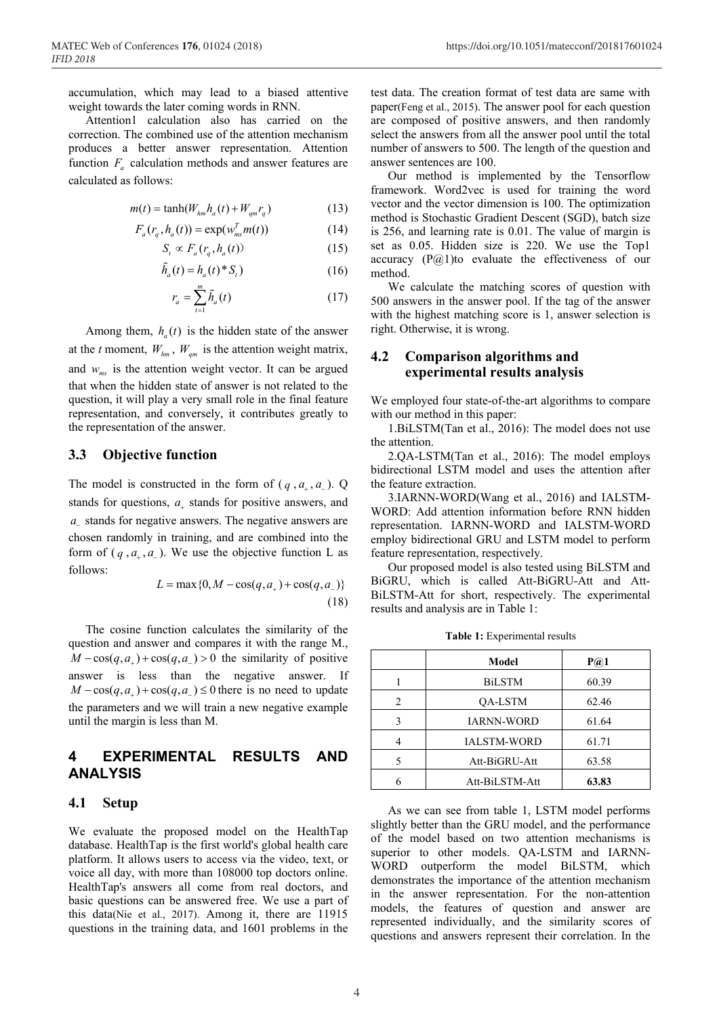accumulation, which may lead to a biased attentive weight towards the later coming words in RNN.

Attention1 calculation also has carried on the correction. The combined use of the attention mechanism produces a better answer representation. Attention function  $F_a$  calculation methods and answer features are calculated as follows:

$$
m(t) = \tanh(W_{hm}h_a(t) + W_{qm}r_q)
$$
 (13)

$$
F_a(r_q, h_a(t)) = \exp(w_{ms}^T m(t))
$$
\n(14)

$$
S_t \propto F_a(r_q, h_a(t)) \tag{15}
$$

$$
\tilde{h}_a(t) = h_a(t)^* S_t \tag{16}
$$

$$
r_a = \sum_{t=1}^{m} \tilde{h}_a(t) \tag{17}
$$

Among them,  $h_n(t)$  is the hidden state of the answer at the *t* moment,  $W_{hm}$ ,  $W_{am}$  is the attention weight matrix, and  $w_{ms}$  is the attention weight vector. It can be argued that when the hidden state of answer is not related to the question, it will play a very small role in the final feature representation, and conversely, it contributes greatly to the representation of the answer.

#### **3.3 Objective function**

The model is constructed in the form of  $(q, a_+, a_-)$ . Q stands for questions,  $a_{\perp}$  stands for positive answers, and *a* stands for negative answers. The negative answers are chosen randomly in training, and are combined into the form of  $(q, a_+, a_-)$ . We use the objective function L as follows:

$$
L = \max\{0, M - \cos(q, a_+) + \cos(q, a_-)\}\
$$
\n(18)

The cosine function calculates the similarity of the question and answer and compares it with the range M.,  $M - \cos(q, a_{\perp}) + \cos(q, a_{\perp}) > 0$  the similarity of positive answer is less than the negative answer. If  $M - \cos(q, a_+) + \cos(q, a_-) \leq 0$  there is no need to update the parameters and we will train a new negative example until the margin is less than M.

### **4 EXPERIMENTAL RESULTS AND ANALYSIS**

#### **4.1 Setup**

We evaluate the proposed model on the HealthTap database. HealthTap is the first world's global health care platform. It allows users to access via the video, text, or voice all day, with more than 108000 top doctors online. HealthTap's answers all come from real doctors, and basic questions can be answered free. We use a part of this data(Nie et al., 2017). Among it, there are 11915 questions in the training data, and 1601 problems in the

test data. The creation format of test data are same with paper(Feng et al., 2015). The answer pool for each question are composed of positive answers, and then randomly select the answers from all the answer pool until the total number of answers to 500. The length of the question and answer sentences are 100.

Our method is implemented by the Tensorflow framework. Word2vec is used for training the word vector and the vector dimension is 100. The optimization method is Stochastic Gradient Descent (SGD), batch size is 256, and learning rate is 0.01. The value of margin is set as 0.05. Hidden size is 220. We use the Top1 accuracy  $(P@1)$ to evaluate the effectiveness of our method.

We calculate the matching scores of question with 500 answers in the answer pool. If the tag of the answer with the highest matching score is 1, answer selection is right. Otherwise, it is wrong.

#### **4.2 Comparison algorithms and experimental results analysis**

We employed four state-of-the-art algorithms to compare with our method in this paper:

1.BiLSTM(Tan et al., 2016): The model does not use the attention.

2.QA-LSTM(Tan et al., 2016): The model employs bidirectional LSTM model and uses the attention after the feature extraction.

3.IARNN-WORD(Wang et al., 2016) and IALSTM-WORD: Add attention information before RNN hidden representation. IARNN-WORD and IALSTM-WORD employ bidirectional GRU and LSTM model to perform feature representation, respectively.

Our proposed model is also tested using BiLSTM and BiGRU, which is called Att-BiGRU-Att and Att-BiLSTM-Att for short, respectively. The experimental results and analysis are in Table 1:

|   | Model              | P(a)1 |
|---|--------------------|-------|
|   | <b>BiLSTM</b>      | 60.39 |
| 2 | QA-LSTM            | 62.46 |
| 3 | <b>IARNN-WORD</b>  | 61.64 |
|   | <b>IALSTM-WORD</b> | 61.71 |
|   | Att-BiGRU-Att      | 63.58 |
|   | Att-BiLSTM-Att     | 63.83 |

**Table 1:** Experimental results

As we can see from table 1, LSTM model performs slightly better than the GRU model, and the performance of the model based on two attention mechanisms is superior to other models. QA-LSTM and IARNN-WORD outperform the model BiLSTM, which demonstrates the importance of the attention mechanism in the answer representation. For the non-attention models, the features of question and answer are represented individually, and the similarity scores of questions and answers represent their correlation. In the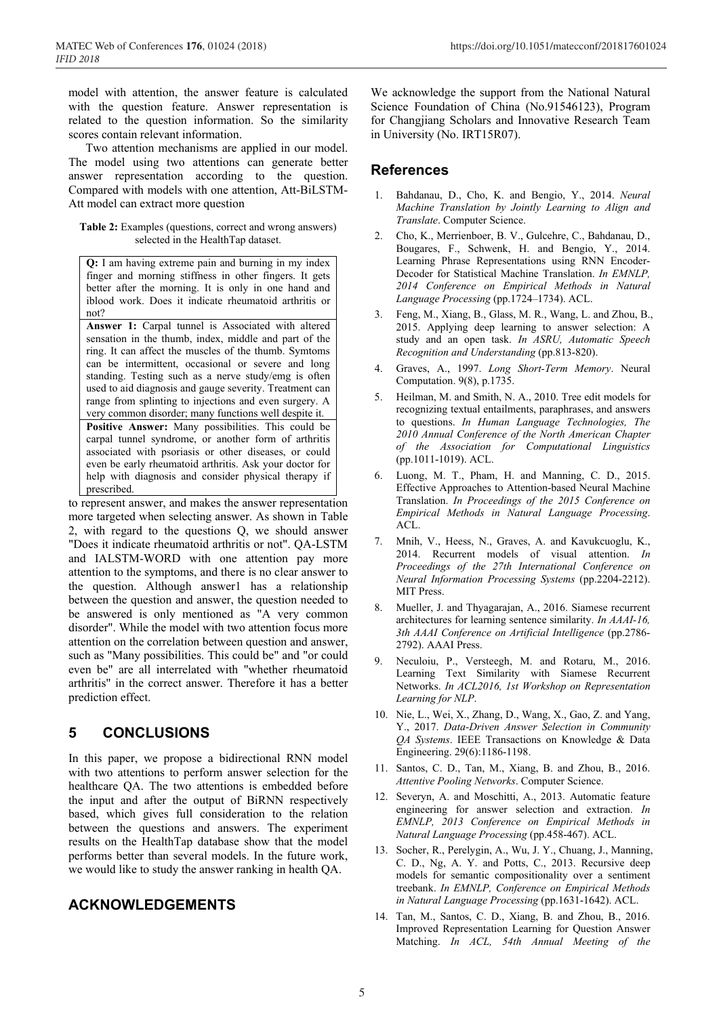model with attention, the answer feature is calculated with the question feature. Answer representation is related to the question information. So the similarity scores contain relevant information.

Two attention mechanisms are applied in our model. The model using two attentions can generate better answer representation according to the question. Compared with models with one attention, Att-BiLSTM-Att model can extract more question

#### **Table 2:** Examples (questions, correct and wrong answers) selected in the HealthTap dataset.

**Q:** I am having extreme pain and burning in my index finger and morning stiffness in other fingers. It gets better after the morning. It is only in one hand and iblood work. Does it indicate rheumatoid arthritis or not?

**Answer 1:** Carpal tunnel is Associated with altered sensation in the thumb, index, middle and part of the ring. It can affect the muscles of the thumb. Symtoms can be intermittent, occasional or severe and long standing. Testing such as a nerve study/emg is often used to aid diagnosis and gauge severity. Treatment can range from splinting to injections and even surgery. A very common disorder; many functions well despite it. **Positive Answer:** Many possibilities. This could be carpal tunnel syndrome, or another form of arthritis associated with psoriasis or other diseases, or could even be early rheumatoid arthritis. Ask your doctor for help with diagnosis and consider physical therapy if prescribed.

to represent answer, and makes the answer representation more targeted when selecting answer. As shown in Table 2, with regard to the questions Q, we should answer "Does it indicate rheumatoid arthritis or not". QA-LSTM and IALSTM-WORD with one attention pay more attention to the symptoms, and there is no clear answer to the question. Although answer1 has a relationship between the question and answer, the question needed to be answered is only mentioned as "A very common disorder". While the model with two attention focus more attention on the correlation between question and answer, such as "Many possibilities. This could be" and "or could even be" are all interrelated with "whether rheumatoid arthritis" in the correct answer. Therefore it has a better prediction effect.

### **5 CONCLUSIONS**

In this paper, we propose a bidirectional RNN model with two attentions to perform answer selection for the healthcare QA. The two attentions is embedded before the input and after the output of BiRNN respectively based, which gives full consideration to the relation between the questions and answers. The experiment results on the HealthTap database show that the model performs better than several models. In the future work, we would like to study the answer ranking in health QA.

### **ACKNOWLEDGEMENTS**

We acknowledge the support from the National Natural Science Foundation of China (No.91546123), Program for Changjiang Scholars and Innovative Research Team in University (No. IRT15R07).

#### **References**

- 1. Bahdanau, D., Cho, K. and Bengio, Y., 2014. *Neural Machine Translation by Jointly Learning to Align and Translate*. Computer Science.
- 2. Cho, K., Merrienboer, B. V., Gulcehre, C., Bahdanau, D., Bougares, F., Schwenk, H. and Bengio, Y., 2014. Learning Phrase Representations using RNN Encoder-Decoder for Statistical Machine Translation. *In EMNLP, 2014 Conference on Empirical Methods in Natural Language Processing* (pp.1724–1734). ACL.
- 3. Feng, M., Xiang, B., Glass, M. R., Wang, L. and Zhou, B., 2015. Applying deep learning to answer selection: A study and an open task. *In ASRU, Automatic Speech Recognition and Understanding* (pp.813-820).
- 4. Graves, A., 1997. *Long Short-Term Memory*. Neural Computation. 9(8), p.1735.
- 5. Heilman, M. and Smith, N. A., 2010. Tree edit models for recognizing textual entailments, paraphrases, and answers to questions. *In Human Language Technologies, The 2010 Annual Conference of the North American Chapter of the Association for Computational Linguistics*  (pp.1011-1019). ACL.
- 6. Luong, M. T., Pham, H. and Manning, C. D., 2015. Effective Approaches to Attention-based Neural Machine Translation. *In Proceedings of the 2015 Conference on Empirical Methods in Natural Language Processing*. ACL.
- 7. Mnih, V., Heess, N., Graves, A. and Kavukcuoglu, K., 2014. Recurrent models of visual attention. *In Proceedings of the 27th International Conference on Neural Information Processing Systems* (pp.2204-2212). MIT Press.
- 8. Mueller, J. and Thyagarajan, A., 2016. Siamese recurrent architectures for learning sentence similarity. *In AAAI-16, 3th AAAI Conference on Artificial Intelligence* (pp.2786- 2792). AAAI Press.
- 9. Neculoiu, P., Versteegh, M. and Rotaru, M., 2016. Learning Text Similarity with Siamese Recurrent Networks. *In ACL2016, 1st Workshop on Representation Learning for NLP*.
- 10. Nie, L., Wei, X., Zhang, D., Wang, X., Gao, Z. and Yang, Y., 2017. *Data-Driven Answer Selection in Community QA Systems*. IEEE Transactions on Knowledge & Data Engineering. 29(6):1186-1198.
- 11. Santos, C. D., Tan, M., Xiang, B. and Zhou, B., 2016. *Attentive Pooling Networks*. Computer Science.
- 12. Severyn, A. and Moschitti, A., 2013. Automatic feature engineering for answer selection and extraction. *In EMNLP, 2013 Conference on Empirical Methods in Natural Language Processing* (pp.458-467). ACL.
- 13. Socher, R., Perelygin, A., Wu, J. Y., Chuang, J., Manning, C. D., Ng, A. Y. and Potts, C., 2013. Recursive deep models for semantic compositionality over a sentiment treebank. *In EMNLP, Conference on Empirical Methods in Natural Language Processing* (pp.1631-1642). ACL.
- 14. Tan, M., Santos, C. D., Xiang, B. and Zhou, B., 2016. Improved Representation Learning for Question Answer Matching. *In ACL, 54th Annual Meeting of the*